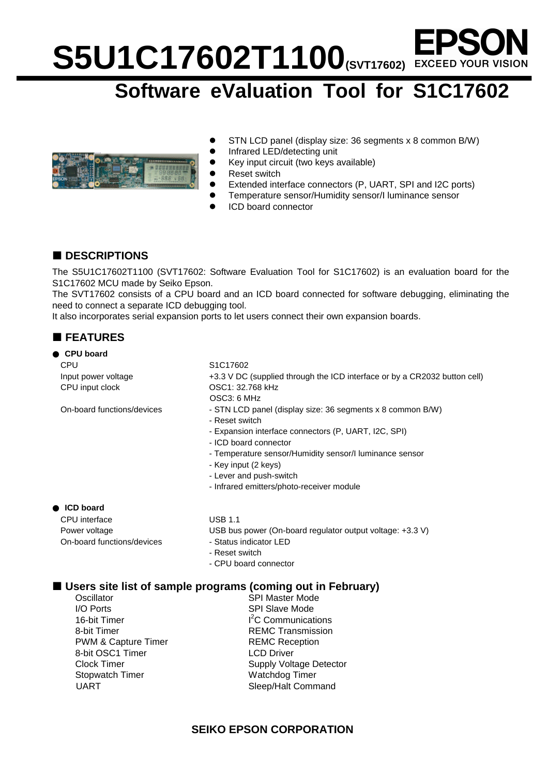# **S5U1C17602T1100(SVT17602)**

### **Software eValuation Tool for S1C17602**



- STN LCD panel (display size: 36 segments x 8 common B/W)
- l Infrared LED/detecting unit
- Key input circuit (two keys available)
- **Reset switch**
- Extended interface connectors (P, UART, SPI and I2C ports)
- Temperature sensor/Humidity sensor/I luminance sensor
	- l ICD board connector

### ■ **DESCRIPTIONS**

The S5U1C17602T1100 (SVT17602: Software Evaluation Tool for S1C17602) is an evaluation board for the S1C17602 MCU made by Seiko Epson.

The SVT17602 consists of a CPU board and an ICD board connected for software debugging, eliminating the need to connect a separate ICD debugging tool.

It also incorporates serial expansion ports to let users connect their own expansion boards.

### ¢ **FEATURES**

| <b>CPU board</b>           |                                                                           |
|----------------------------|---------------------------------------------------------------------------|
| <b>CPU</b>                 | S <sub>1</sub> C <sub>17602</sub>                                         |
| Input power voltage        | +3.3 V DC (supplied through the ICD interface or by a CR2032 button cell) |
| CPU input clock            | OSC1: 32.768 kHz                                                          |
|                            | OSC3: 6 MHz                                                               |
| On-board functions/devices | - STN LCD panel (display size: 36 segments x 8 common B/W)                |
|                            | - Reset switch                                                            |
|                            | - Expansion interface connectors (P, UART, I2C, SPI)                      |
|                            | - ICD board connector                                                     |
|                            | - Temperature sensor/Humidity sensor/I luminance sensor                   |
|                            | - Key input (2 keys)                                                      |
|                            | - Lever and push-switch                                                   |
|                            | - Infrared emitters/photo-receiver module                                 |
| <b>ICD</b> board           |                                                                           |
| CPU interface              | <b>USB 1.1</b>                                                            |
| Power voltage              | USB bus power (On-board regulator output voltage: +3.3 V)                 |
| On-board functions/devices | - Status indicator LED                                                    |
|                            | - Reset switch                                                            |
|                            |                                                                           |

- CPU board connector

### ■ Users site list of sample programs (coming out in February)

Oscillator Contract Contract Contract Contract Contract Contract Contract Contract Contract Contract Contract Contract Contract Contract Contract Contract Contract Contract Contract Contract Contract Contract Contract Cont I/O Ports SPI Slave Mode 16-bit Timer 8-bit Timer **REMC** Transmission PWM & Capture Timer REMC Reception 8-bit OSC1 Timer LCD Driver Stopwatch Timer Watchdog Timer UART Sleep/Halt Command

 $I<sup>2</sup>C$  Communications Clock Timer Supply Voltage Detector

### **SEIKO EPSON CORPORATION**